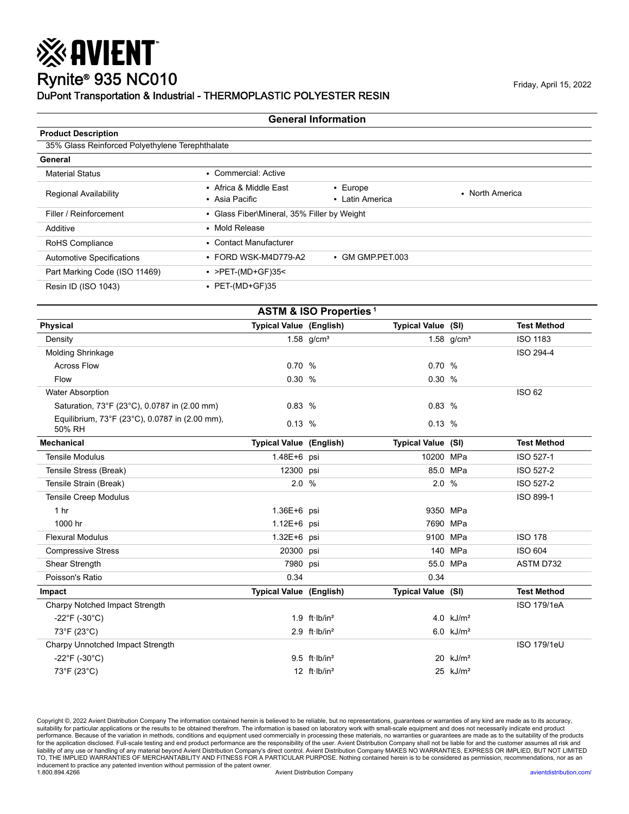## Rynite® 935 NC010 Friday, April 15, 2022 DuPont Transportation & Industrial - THERMOPLASTIC POLYESTER RESIN

※ AVIENT

#### **General Information**

| <b>Product Description</b>                      |                                          |                                             |                 |  |  |  |  |
|-------------------------------------------------|------------------------------------------|---------------------------------------------|-----------------|--|--|--|--|
| 35% Glass Reinforced Polyethylene Terephthalate |                                          |                                             |                 |  |  |  |  |
| General                                         |                                          |                                             |                 |  |  |  |  |
| <b>Material Status</b>                          | • Commercial: Active                     |                                             |                 |  |  |  |  |
| <b>Regional Availability</b>                    | • Africa & Middle East<br>• Asia Pacific | $\cdot$ Europe<br>• Latin America           | • North America |  |  |  |  |
| Filler / Reinforcement                          |                                          | • Glass Fiber\Mineral, 35% Filler by Weight |                 |  |  |  |  |
| Additive                                        | • Mold Release                           |                                             |                 |  |  |  |  |
| RoHS Compliance                                 | • Contact Manufacturer                   |                                             |                 |  |  |  |  |
| <b>Automotive Specifications</b>                | $\cdot$ FORD WSK-M4D779-A2               | • GM GMP PET 003                            |                 |  |  |  |  |
| Part Marking Code (ISO 11469)                   | $\cdot$ >PET-(MD+GF)35<                  |                                             |                 |  |  |  |  |
| Resin ID (ISO 1043)                             | • PET-(MD+GF)35                          |                                             |                 |  |  |  |  |

| <b>ASTM &amp; ISO Properties<sup>1</sup></b>             |                                |                    |                           |                         |                    |  |  |
|----------------------------------------------------------|--------------------------------|--------------------|---------------------------|-------------------------|--------------------|--|--|
| <b>Physical</b>                                          | Typical Value (English)        |                    | Typical Value (SI)        |                         | <b>Test Method</b> |  |  |
| Density                                                  |                                | 1.58 $g/cm^{3}$    |                           | 1.58 $g/cm^{3}$         | <b>ISO 1183</b>    |  |  |
| <b>Molding Shrinkage</b>                                 |                                |                    |                           |                         | ISO 294-4          |  |  |
| <b>Across Flow</b>                                       | 0.70%                          |                    | 0.70 %                    |                         |                    |  |  |
| Flow                                                     | 0.30 %                         |                    | 0.30%                     |                         |                    |  |  |
| <b>Water Absorption</b>                                  |                                |                    |                           |                         | <b>ISO 62</b>      |  |  |
| Saturation, 73°F (23°C), 0.0787 in (2.00 mm)             | 0.83%                          |                    | 0.83%                     |                         |                    |  |  |
| Equilibrium, 73°F (23°C), 0.0787 in (2.00 mm),<br>50% RH | 0.13%                          |                    | 0.13%                     |                         |                    |  |  |
| <b>Mechanical</b>                                        | <b>Typical Value (English)</b> |                    | <b>Typical Value (SI)</b> |                         | <b>Test Method</b> |  |  |
| <b>Tensile Modulus</b>                                   | 1.48E+6 psi                    |                    | 10200 MPa                 |                         | ISO 527-1          |  |  |
| Tensile Stress (Break)                                   | 12300 psi                      |                    |                           | 85.0 MPa                | ISO 527-2          |  |  |
| Tensile Strain (Break)                                   | 2.0%                           |                    | 2.0 %                     |                         | ISO 527-2          |  |  |
| <b>Tensile Creep Modulus</b>                             |                                |                    |                           |                         | ISO 899-1          |  |  |
| 1 <sub>hr</sub>                                          | 1.36E+6 psi                    |                    |                           | 9350 MPa                |                    |  |  |
| 1000 hr                                                  | 1.12E+6 psi                    |                    |                           | 7690 MPa                |                    |  |  |
| <b>Flexural Modulus</b>                                  | 1.32E+6 psi                    |                    |                           | 9100 MPa                | <b>ISO 178</b>     |  |  |
| <b>Compressive Stress</b>                                | 20300 psi                      |                    |                           | 140 MPa                 | <b>ISO 604</b>     |  |  |
| Shear Strength                                           | 7980 psi                       |                    |                           | 55.0 MPa                | ASTM D732          |  |  |
| Poisson's Ratio                                          | 0.34                           |                    | 0.34                      |                         |                    |  |  |
| Impact                                                   | Typical Value (English)        |                    | Typical Value (SI)        |                         | <b>Test Method</b> |  |  |
| Charpy Notched Impact Strength                           |                                |                    |                           |                         | ISO 179/1eA        |  |  |
| $-22^{\circ}F$ (-30 $^{\circ}C$ )                        |                                | 1.9 $ft·lb/in2$    |                           | 4.0 $kJ/m2$             |                    |  |  |
| 73°F (23°C)                                              |                                | 2.9 $ft·lb/in2$    |                           | $6.0$ kJ/m <sup>2</sup> |                    |  |  |
| Charpy Unnotched Impact Strength                         |                                |                    |                           |                         | ISO 179/1eU        |  |  |
| $-22^{\circ}F( -30^{\circ}C)$                            |                                | $9.5$ ft $lb/in^2$ |                           | $20$ kJ/m <sup>2</sup>  |                    |  |  |
| 73°F (23°C)                                              |                                | 12 $ft·lb/in2$     |                           | $25$ kJ/m <sup>2</sup>  |                    |  |  |

Copyright ©, 2022 Avient Distribution Company The information contained herein is believed to be reliable, but no representations, guarantees or warranties of any kind are made as to its accuracy,<br>suitability for particul for the application disclosed. Full-scale testing and end product performance are the responsibility of the user. Avient Distribution Company shall not be liable for and the customer assumes all risk and<br>liability of any u inducement to practice any patented invention without permission of the patent owner.<br>1.800.894.4266 Avient Distribution Company [avientdistribution.com/](https://www.avientdistribution.com/)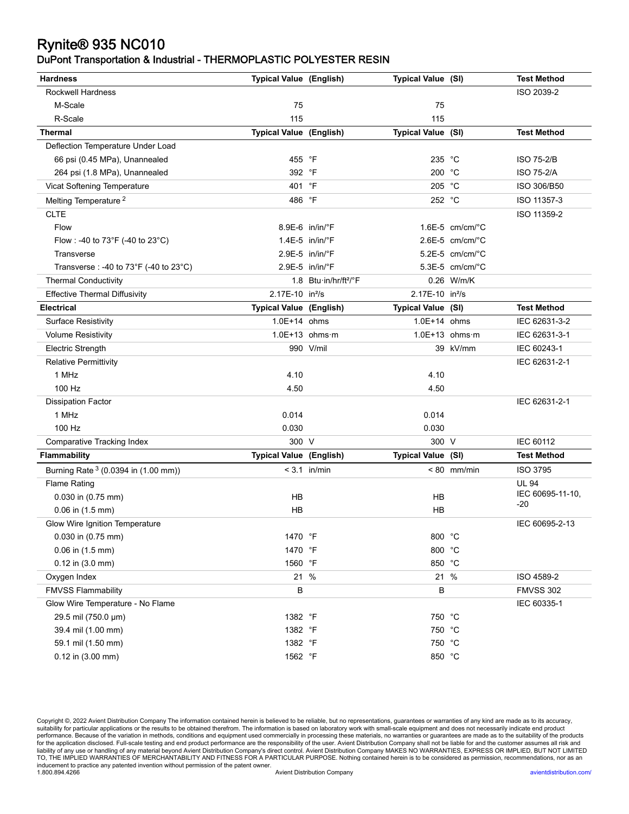# Rynite® 935 NC010

### DuPont Transportation & Industrial - THERMOPLASTIC POLYESTER RESIN

| <b>Hardness</b>                        | <b>Typical Value (English)</b> |                                   | Typical Value (SI)          |                              | <b>Test Method</b> |
|----------------------------------------|--------------------------------|-----------------------------------|-----------------------------|------------------------------|--------------------|
| <b>Rockwell Hardness</b>               |                                |                                   |                             |                              | ISO 2039-2         |
| M-Scale                                | 75                             |                                   | 75                          |                              |                    |
| R-Scale                                | 115                            |                                   | 115                         |                              |                    |
| Thermal                                | <b>Typical Value (English)</b> |                                   | Typical Value (SI)          |                              | <b>Test Method</b> |
| Deflection Temperature Under Load      |                                |                                   |                             |                              |                    |
| 66 psi (0.45 MPa), Unannealed          | 455 °F                         |                                   | 235 °C                      |                              | <b>ISO 75-2/B</b>  |
| 264 psi (1.8 MPa), Unannealed          | 392 °F                         |                                   | 200 °C                      |                              | <b>ISO 75-2/A</b>  |
| Vicat Softening Temperature            | 401 °F                         |                                   | 205 °C                      |                              | ISO 306/B50        |
| Melting Temperature <sup>2</sup>       | 486 °F                         |                                   | 252 °C                      |                              | ISO 11357-3        |
| <b>CLTE</b>                            |                                |                                   |                             |                              | ISO 11359-2        |
| Flow                                   |                                | $8.9E-6$ in/in/ $\degree$ F       |                             | $1.6E-5$ cm/cm/ $°C$         |                    |
| Flow : -40 to 73°F (-40 to 23°C)       |                                | $1.4E-5$ in/in/ $\degree$ F       |                             | $2.6E-5$ cm/cm/ $^{\circ}$ C |                    |
| Transverse                             |                                | 2.9E-5 in/in/°F                   |                             | $5.2E-5$ cm/cm/ $°C$         |                    |
| Transverse : -40 to 73°F (-40 to 23°C) |                                | 2.9E-5 in/in/°F                   |                             | 5.3E-5 cm/cm/°C              |                    |
| <b>Thermal Conductivity</b>            |                                | 1.8 Btu·in/hr/ft <sup>2</sup> /°F |                             | 0.26 W/m/K                   |                    |
| <b>Effective Thermal Diffusivity</b>   | 2.17E-10 in <sup>2</sup> /s    |                                   | 2.17E-10 in <sup>2</sup> /s |                              |                    |
| <b>Electrical</b>                      | <b>Typical Value (English)</b> |                                   | Typical Value (SI)          |                              | <b>Test Method</b> |
| <b>Surface Resistivity</b>             | 1.0E+14 ohms                   |                                   | $1.0E+14$ ohms              |                              | IEC 62631-3-2      |
| <b>Volume Resistivity</b>              |                                | $1.0E+13$ ohms $\cdot$ m          |                             | $1.0E+13$ ohms m             | IEC 62631-3-1      |
| Electric Strength                      |                                | 990 V/mil                         |                             | 39 kV/mm                     | IEC 60243-1        |
| <b>Relative Permittivity</b>           |                                |                                   |                             |                              | IEC 62631-2-1      |
| 1 MHz                                  | 4.10                           |                                   | 4.10                        |                              |                    |
| 100 Hz                                 | 4.50                           |                                   | 4.50                        |                              |                    |
| <b>Dissipation Factor</b>              |                                |                                   |                             |                              | IEC 62631-2-1      |
| 1 MHz                                  | 0.014                          |                                   | 0.014                       |                              |                    |
| 100 Hz                                 | 0.030                          |                                   | 0.030                       |                              |                    |
| <b>Comparative Tracking Index</b>      | 300 V                          |                                   | 300 V                       |                              | IEC 60112          |
| <b>Flammability</b>                    | <b>Typical Value (English)</b> |                                   | Typical Value (SI)          |                              | <b>Test Method</b> |
| Burning Rate 3 (0.0394 in (1.00 mm))   |                                | $< 3.1$ in/min                    |                             | $< 80$ mm/min                | <b>ISO 3795</b>    |
| <b>Flame Rating</b>                    |                                |                                   |                             |                              | <b>UL 94</b>       |
| 0.030 in (0.75 mm)                     | HВ                             |                                   | НB                          |                              | IEC 60695-11-10,   |
| $0.06$ in $(1.5$ mm)                   | HB                             |                                   | НB                          |                              | $-20$              |
| Glow Wire Ignition Temperature         |                                |                                   |                             |                              | IEC 60695-2-13     |
| 0.030 in (0.75 mm)                     | 1470 °F                        |                                   | 800 °C                      |                              |                    |
| 0.06 in (1.5 mm)                       | 1470 °F                        |                                   | 800 °C                      |                              |                    |
| $0.12$ in $(3.0$ mm)                   | 1560 °F                        |                                   | 850 °C                      |                              |                    |
| Oxygen Index                           |                                | 21 %                              |                             | 21 %                         | ISO 4589-2         |
| <b>FMVSS Flammability</b>              | В                              |                                   | B                           |                              | <b>FMVSS 302</b>   |
| Glow Wire Temperature - No Flame       |                                |                                   |                             |                              | IEC 60335-1        |
| 29.5 mil (750.0 µm)                    | 1382 °F                        |                                   | 750 °C                      |                              |                    |
| 39.4 mil (1.00 mm)                     | 1382 °F                        |                                   | 750 °C                      |                              |                    |
| 59.1 mil (1.50 mm)                     | 1382 °F                        |                                   | 750 °C                      |                              |                    |
| 0.12 in (3.00 mm)                      | 1562 °F                        |                                   | 850 °C                      |                              |                    |

Copyright ©, 2022 Avient Distribution Company The information contained herein is believed to be reliable, but no representations, guarantees or warranties of any kind are made as to its accuracy,<br>suitability for particul for the application disclosed. Full-scale testing and end product performance are the responsibility of the user. Avient Distribution Company shall not be liable for and the customer assumes all risk and<br>liability of any u inducement to practice any patented invention without permission of the patent owner. 1.800.894.4266 Avient Distribution Company [avientdistribution.com/](https://www.avientdistribution.com/)